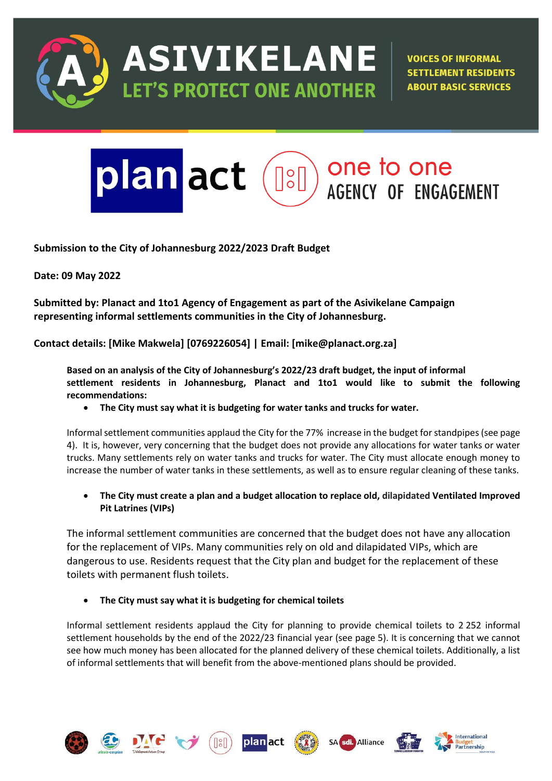

ASIVIKELANE **ET'S PROTECT ONE ANOTHER** 

**VOICES OF INFORMAL SETTLEMENT RESIDENTS ABOUT BASIC SERVICES** 

# one to one plan act  $\left[\begin{smallmatrix} \circ & \circ \\ \circ & \circ \end{smallmatrix}\right]$ **AGENCY OF ENGAGEMENT**

**Submission to the City of Johannesburg 2022/2023 Draft Budget**

**Date: 09 May 2022**

**Submitted by: Planact and 1to1 Agency of Engagement as part of the Asivikelane Campaign representing informal settlements communities in the City of Johannesburg.**

**Contact details: [Mike Makwela] [0769226054] | Email: [mike@planact.org.za]**

**Based on an analysis of the City of Johannesburg's 2022/23 draft budget, the input of informal settlement residents in Johannesburg, Planact and 1to1 would like to submit the following recommendations:**

• **The City must say what it is budgeting for water tanks and trucks for water.**

Informal settlement communities applaud the City for the 77% increase in the budget for standpipes (see page 4). It is, however, very concerning that the budget does not provide any allocations for water tanks or water trucks. Many settlements rely on water tanks and trucks for water. The City must allocate enough money to increase the number of water tanks in these settlements, as well as to ensure regular cleaning of these tanks.

• **The City must create a plan and a budget allocation to replace old, dilapidated Ventilated Improved Pit Latrines (VIPs)**

The informal settlement communities are concerned that the budget does not have any allocation for the replacement of VIPs. Many communities rely on old and dilapidated VIPs, which are dangerous to use. Residents request that the City plan and budget for the replacement of these toilets with permanent flush toilets.

• **The City must say what it is budgeting for chemical toilets**

Informal settlement residents applaud the City for planning to provide chemical toilets to 2 252 informal settlement households by the end of the 2022/23 financial year (see page 5). It is concerning that we cannot see how much money has been allocated for the planned delivery of these chemical toilets. Additionally, a list of informal settlements that will benefit from the above-mentioned plans should be provided.











Alliance

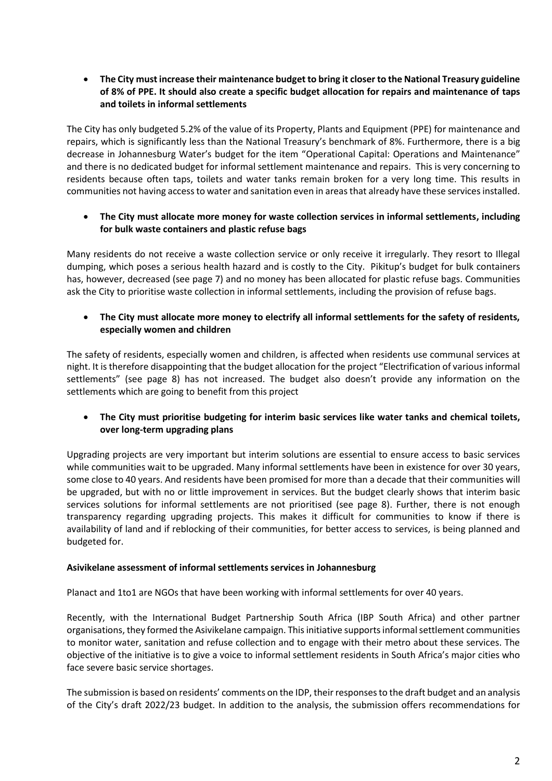• **The City must increase their maintenance budget to bring it closer to the National Treasury guideline of 8% of PPE. It should also create a specific budget allocation for repairs and maintenance of taps and toilets in informal settlements**

The City has only budgeted 5.2% of the value of its Property, Plants and Equipment (PPE) for maintenance and repairs, which is significantly less than the National Treasury's benchmark of 8%. Furthermore, there is a big decrease in Johannesburg Water's budget for the item "Operational Capital: Operations and Maintenance" and there is no dedicated budget for informal settlement maintenance and repairs. This is very concerning to residents because often taps, toilets and water tanks remain broken for a very long time. This results in communities not having access to water and sanitation even in areas that already have these services installed.

• **The City must allocate more money for waste collection services in informal settlements, including for bulk waste containers and plastic refuse bags**

Many residents do not receive a waste collection service or only receive it irregularly. They resort to Illegal dumping, which poses a serious health hazard and is costly to the City. Pikitup's budget for bulk containers has, however, decreased (see page 7) and no money has been allocated for plastic refuse bags. Communities ask the City to prioritise waste collection in informal settlements, including the provision of refuse bags.

• **The City must allocate more money to electrify all informal settlements for the safety of residents, especially women and children**

The safety of residents, especially women and children, is affected when residents use communal services at night. It is therefore disappointing that the budget allocation for the project "Electrification of various informal settlements" (see page 8) has not increased. The budget also doesn't provide any information on the settlements which are going to benefit from this project

• **The City must prioritise budgeting for interim basic services like water tanks and chemical toilets, over long-term upgrading plans**

Upgrading projects are very important but interim solutions are essential to ensure access to basic services while communities wait to be upgraded. Many informal settlements have been in existence for over 30 years, some close to 40 years. And residents have been promised for more than a decade that their communities will be upgraded, but with no or little improvement in services. But the budget clearly shows that interim basic services solutions for informal settlements are not prioritised (see page 8). Further, there is not enough transparency regarding upgrading projects. This makes it difficult for communities to know if there is availability of land and if reblocking of their communities, for better access to services, is being planned and budgeted for.

### **Asivikelane assessment of informal settlements services in Johannesburg**

Planact and 1to1 are NGOs that have been working with informal settlements for over 40 years.

Recently, with the International Budget Partnership South Africa (IBP South Africa) and other partner organisations, they formed the Asivikelane campaign. This initiative supports informal settlement communities to monitor water, sanitation and refuse collection and to engage with their metro about these services. The objective of the initiative is to give a voice to informal settlement residents in South Africa's major cities who face severe basic service shortages.

The submission is based on residents' comments on the IDP, their responses to the draft budget and an analysis of the City's draft 2022/23 budget. In addition to the analysis, the submission offers recommendations for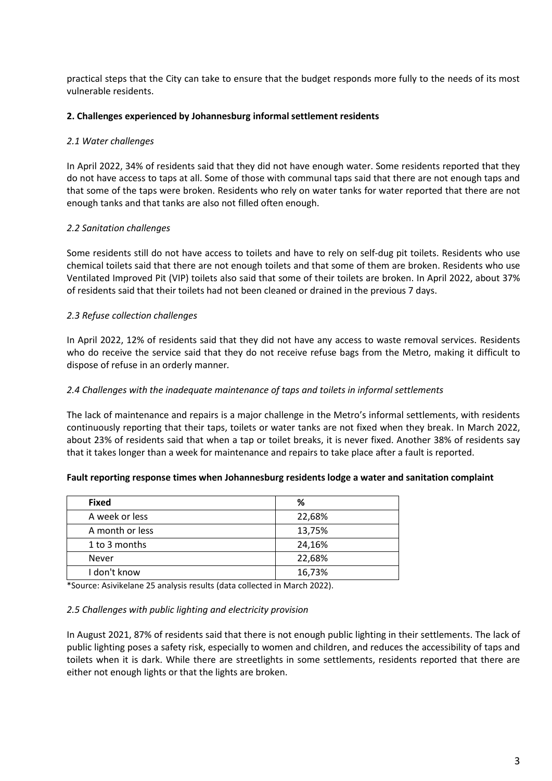practical steps that the City can take to ensure that the budget responds more fully to the needs of its most vulnerable residents.

### **2. Challenges experienced by Johannesburg informal settlement residents**

#### *2.1 Water challenges*

In April 2022, 34% of residents said that they did not have enough water. Some residents reported that they do not have access to taps at all. Some of those with communal taps said that there are not enough taps and that some of the taps were broken. Residents who rely on water tanks for water reported that there are not enough tanks and that tanks are also not filled often enough.

### *2.2 Sanitation challenges*

Some residents still do not have access to toilets and have to rely on self-dug pit toilets. Residents who use chemical toilets said that there are not enough toilets and that some of them are broken. Residents who use Ventilated Improved Pit (VIP) toilets also said that some of their toilets are broken. In April 2022, about 37% of residents said that their toilets had not been cleaned or drained in the previous 7 days.

### *2.3 Refuse collection challenges*

In April 2022, 12% of residents said that they did not have any access to waste removal services. Residents who do receive the service said that they do not receive refuse bags from the Metro, making it difficult to dispose of refuse in an orderly manner*.*

#### *2.4 Challenges with the inadequate maintenance of taps and toilets in informal settlements*

The lack of maintenance and repairs is a major challenge in the Metro's informal settlements, with residents continuously reporting that their taps, toilets or water tanks are not fixed when they break. In March 2022, about 23% of residents said that when a tap or toilet breaks, it is never fixed. Another 38% of residents say that it takes longer than a week for maintenance and repairs to take place after a fault is reported.

#### **Fault reporting response times when Johannesburg residents lodge a water and sanitation complaint**

| <b>Fixed</b>    | %      |
|-----------------|--------|
| A week or less  | 22,68% |
| A month or less | 13,75% |
| 1 to 3 months   | 24,16% |
| <b>Never</b>    | 22,68% |
| I don't know    | 16,73% |

\*Source: Asivikelane 25 analysis results (data collected in March 2022).

#### *2.5 Challenges with public lighting and electricity provision*

In August 2021, 87% of residents said that there is not enough public lighting in their settlements. The lack of public lighting poses a safety risk, especially to women and children, and reduces the accessibility of taps and toilets when it is dark. While there are streetlights in some settlements, residents reported that there are either not enough lights or that the lights are broken.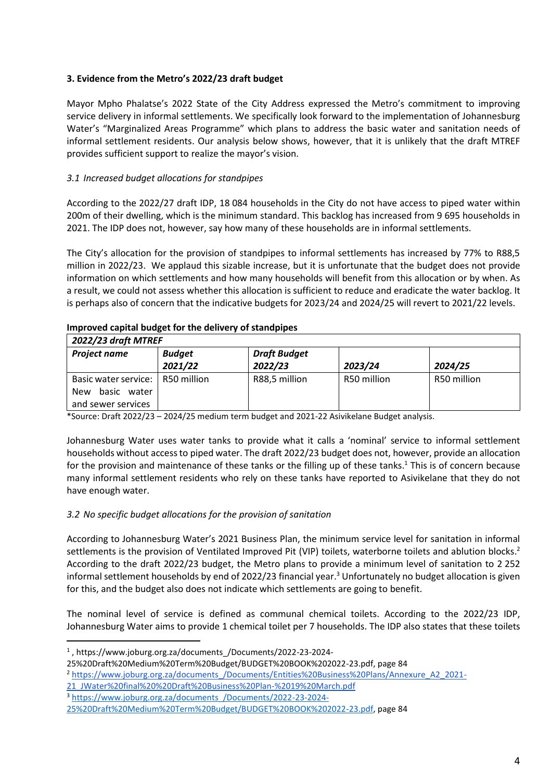# **3. Evidence from the Metro's 2022/23 draft budget**

Mayor Mpho Phalatse's 2022 State of the City Address expressed the Metro's commitment to improving service delivery in informal settlements. We specifically look forward to the implementation of Johannesburg Water's "Marginalized Areas Programme" which plans to address the basic water and sanitation needs of informal settlement residents. Our analysis below shows, however, that it is unlikely that the draft MTREF provides sufficient support to realize the mayor's vision.

# *3.1 Increased budget allocations for standpipes*

According to the 2022/27 draft IDP, 18 084 households in the City do not have access to piped water within 200m of their dwelling, which is the minimum standard. This backlog has increased from 9 695 households in 2021. The IDP does not, however, say how many of these households are in informal settlements.

The City's allocation for the provision of standpipes to informal settlements has increased by 77% to R88,5 million in 2022/23. We applaud this sizable increase, but it is unfortunate that the budget does not provide information on which settlements and how many households will benefit from this allocation or by when. As a result, we could not assess whether this allocation is sufficient to reduce and eradicate the water backlog. It is perhaps also of concern that the indicative budgets for 2023/24 and 2024/25 will revert to 2021/22 levels.

# **Improved capital budget for the delivery of standpipes**

| 2022/23 draft MTREF                                                 |                          |                                |             |             |
|---------------------------------------------------------------------|--------------------------|--------------------------------|-------------|-------------|
| <b>Project name</b>                                                 | <b>Budget</b><br>2021/22 | <b>Draft Budget</b><br>2022/23 | 2023/24     | 2024/25     |
| Basic water service:<br>basic<br>water<br>New<br>and sewer services | R50 million              | R88,5 million                  | R50 million | R50 million |

\*Source: Draft 2022/23 – 2024/25 medium term budget and 2021-22 Asivikelane Budget analysis.

Johannesburg Water uses water tanks to provide what it calls a 'nominal' service to informal settlement households without access to piped water. The draft 2022/23 budget does not, however, provide an allocation for the provision and maintenance of these tanks or the filling up of these tanks.<sup>1</sup> This is of concern because many informal settlement residents who rely on these tanks have reported to Asivikelane that they do not have enough water.

# *3.2 No specific budget allocations for the provision of sanitation*

According to Johannesburg Water's 2021 Business Plan, the minimum service level for sanitation in informal settlements is the provision of Ventilated Improved Pit (VIP) toilets, waterborne toilets and ablution blocks.<sup>2</sup> According to the draft 2022/23 budget, the Metro plans to provide a minimum level of sanitation to 2 252 informal settlement households by end of 2022/23 financial year. <sup>3</sup> Unfortunately no budget allocation is given for this, and the budget also does not indicate which settlements are going to benefit.

The nominal level of service is defined as communal chemical toilets. According to the 2022/23 IDP, Johannesburg Water aims to provide 1 chemical toilet per 7 households. The IDP also states that these toilets

<sup>1</sup> , https://www.joburg.org.za/documents\_/Documents/2022-23-2024-

<sup>25%20</sup>Draft%20Medium%20Term%20Budget/BUDGET%20BOOK%202022-23.pdf, page 84

<sup>2</sup> [https://www.joburg.org.za/documents\\_/Documents/Entities%20Business%20Plans/Annexure\\_A2\\_2021-](https://www.joburg.org.za/documents_/Documents/Entities%20Business%20Plans/Annexure_A2_2021-21_JWater%20final%20%20Draft%20Business%20Plan-%2019%20March.pdf)

[<sup>21</sup>\\_JWater%20final%20%20Draft%20Business%20Plan-%2019%20March.pdf](https://www.joburg.org.za/documents_/Documents/Entities%20Business%20Plans/Annexure_A2_2021-21_JWater%20final%20%20Draft%20Business%20Plan-%2019%20March.pdf)

<sup>3</sup> [https://www.joburg.org.za/documents\\_/Documents/2022-23-2024-](https://www.joburg.org.za/documents_/Documents/2022-23-2024-25%20Draft%20Medium%20Term%20Budget/BUDGET%20BOOK%202022-23.pdf)

[<sup>25%20</sup>Draft%20Medium%20Term%20Budget/BUDGET%20BOOK%202022-23.pdf,](https://www.joburg.org.za/documents_/Documents/2022-23-2024-25%20Draft%20Medium%20Term%20Budget/BUDGET%20BOOK%202022-23.pdf) page 84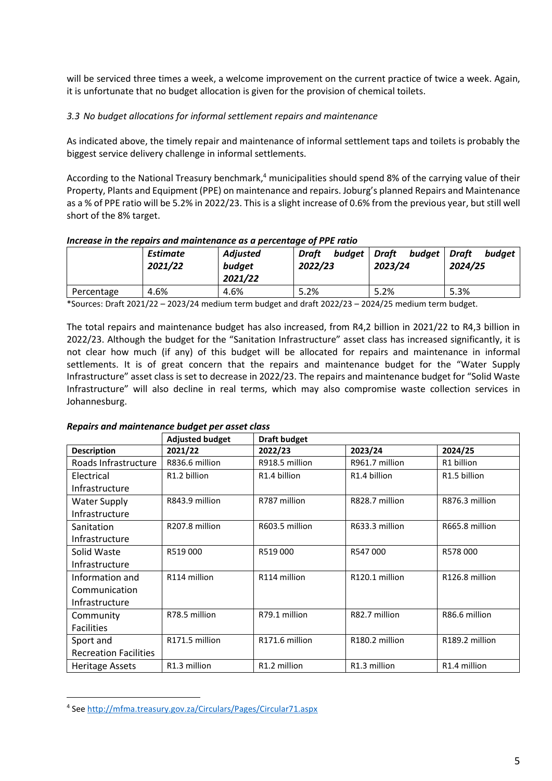will be serviced three times a week, a welcome improvement on the current practice of twice a week. Again, it is unfortunate that no budget allocation is given for the provision of chemical toilets.

# *3.3 No budget allocations for informal settlement repairs and maintenance*

As indicated above, the timely repair and maintenance of informal settlement taps and toilets is probably the biggest service delivery challenge in informal settlements.

According to the National Treasury benchmark,<sup>4</sup> municipalities should spend 8% of the carrying value of their Property, Plants and Equipment (PPE) on maintenance and repairs. Joburg's planned Repairs and Maintenance as a % of PPE ratio will be 5.2% in 2022/23. This is a slight increase of 0.6% from the previous year, but still well short of the 8% target.

## *Increase in the repairs and maintenance as a percentage of PPE ratio*

|            | <b>Estimate</b><br>2021/22 | <b>Adjusted</b><br>budget<br>2021/22 | budget<br>Draft<br>2022/23 | budget<br>Draft<br>2023/24 | budget<br>Draft<br>2024/25 |
|------------|----------------------------|--------------------------------------|----------------------------|----------------------------|----------------------------|
| Percentage | 4.6%                       | 4.6%                                 | 5.2%                       | 5.2%                       | 5.3%                       |

\*Sources: Draft 2021/22 – 2023/24 medium term budget and draft 2022/23 – 2024/25 medium term budget.

The total repairs and maintenance budget has also increased, from R4,2 billion in 2021/22 to R4,3 billion in 2022/23. Although the budget for the "Sanitation Infrastructure" asset class has increased significantly, it is not clear how much (if any) of this budget will be allocated for repairs and maintenance in informal settlements. It is of great concern that the repairs and maintenance budget for the "Water Supply Infrastructure" asset class is set to decrease in 2022/23. The repairs and maintenance budget for "Solid Waste Infrastructure" will also decline in real terms, which may also compromise waste collection services in Johannesburg.

### *Repairs and maintenance budget per asset class*

|                              | <b>Adjusted budget</b> | <b>Draft budget</b> |                |                          |
|------------------------------|------------------------|---------------------|----------------|--------------------------|
| <b>Description</b>           | 2021/22                | 2022/23             | 2023/24        | 2024/25                  |
| Roads Infrastructure         | R836.6 million         | R918.5 million      | R961.7 million | R1 billion               |
| Electrical                   | R1.2 billion           | R1.4 billion        | R1.4 billion   | R <sub>1.5</sub> billion |
| Infrastructure               |                        |                     |                |                          |
| <b>Water Supply</b>          | R843.9 million         | R787 million        | R828.7 million | R876.3 million           |
| Infrastructure               |                        |                     |                |                          |
| Sanitation                   | R207.8 million         | R603.5 million      | R633.3 million | R665.8 million           |
| Infrastructure               |                        |                     |                |                          |
| Solid Waste                  | R519000                | R519000             | R547000        | R578000                  |
| Infrastructure               |                        |                     |                |                          |
| Information and              | R114 million           | R114 million        | R120.1 million | R126.8 million           |
| Communication                |                        |                     |                |                          |
| Infrastructure               |                        |                     |                |                          |
| Community                    | R78.5 million          | R79.1 million       | R82.7 million  | R86.6 million            |
| <b>Facilities</b>            |                        |                     |                |                          |
| Sport and                    | R171.5 million         | R171.6 million      | R180.2 million | R189.2 million           |
| <b>Recreation Facilities</b> |                        |                     |                |                          |
| <b>Heritage Assets</b>       | R1.3 million           | R1.2 million        | R1.3 million   | R1.4 million             |

<sup>4</sup> See<http://mfma.treasury.gov.za/Circulars/Pages/Circular71.aspx>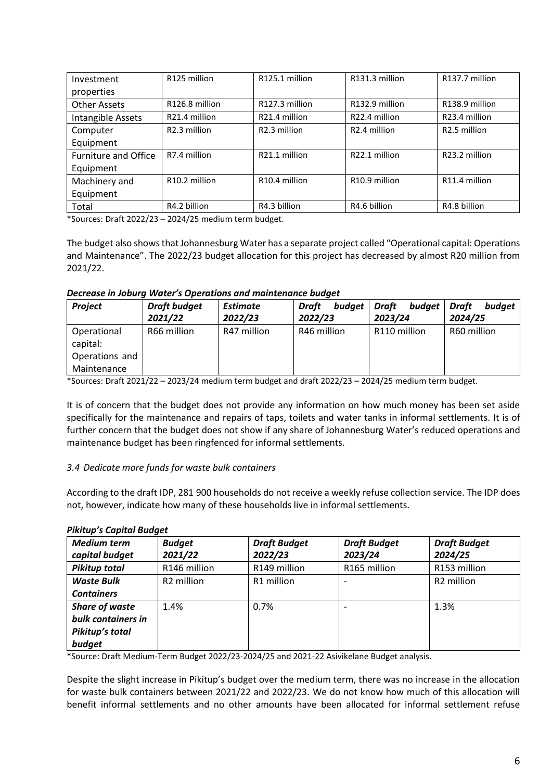| Investment                  | R125 million              | R125.1 million            | R131.3 million            | R137.7 million           |
|-----------------------------|---------------------------|---------------------------|---------------------------|--------------------------|
| properties                  |                           |                           |                           |                          |
| <b>Other Assets</b>         | R126.8 million            | R127.3 million            | R132.9 million            | R138.9 million           |
| Intangible Assets           | R21.4 million             | R21.4 million             | R22.4 million             | R23.4 million            |
| Computer                    | R <sub>2.3</sub> million  | R <sub>2.3</sub> million  | R <sub>2.4</sub> million  | R <sub>2.5</sub> million |
| Equipment                   |                           |                           |                           |                          |
| <b>Furniture and Office</b> | R7.4 million              | R21.1 million             | R22.1 million             | R23.2 million            |
| Equipment                   |                           |                           |                           |                          |
| Machinery and               | R <sub>10.2</sub> million | R <sub>10.4</sub> million | R <sub>10.9</sub> million | R11.4 million            |
| Equipment                   |                           |                           |                           |                          |
| Total                       | R4.2 billion              | R4.3 billion              | R4.6 billion              | R4.8 billion             |

\*Sources: Draft 2022/23 – 2024/25 medium term budget.

The budget also shows that Johannesburg Water has a separate project called "Operational capital: Operations and Maintenance". The 2022/23 budget allocation for this project has decreased by almost R20 million from 2021/22.

### *Decrease in Joburg Water's Operations and maintenance budget*

| <b>Project</b>          | <b>Draft budget</b> | <b>Estimate</b> | budget<br>Draft | Draft<br>budget | budaet<br>Draft |
|-------------------------|---------------------|-----------------|-----------------|-----------------|-----------------|
|                         | 2021/22             | 2022/23         | 2022/23         | 2023/24         | 2024/25         |
| Operational<br>capital: | R66 million         | R47 million     | R46 million     | R110 million    | R60 million     |
| Operations and          |                     |                 |                 |                 |                 |
| Maintenance             |                     |                 |                 |                 |                 |

\*Sources: Draft 2021/22 – 2023/24 medium term budget and draft 2022/23 – 2024/25 medium term budget.

It is of concern that the budget does not provide any information on how much money has been set aside specifically for the maintenance and repairs of taps, toilets and water tanks in informal settlements. It is of further concern that the budget does not show if any share of Johannesburg Water's reduced operations and maintenance budget has been ringfenced for informal settlements.

# *3.4 Dedicate more funds for waste bulk containers*

According to the draft IDP, 281 900 households do not receive a weekly refuse collection service. The IDP does not, however, indicate how many of these households live in informal settlements.

### *Pikitup's Capital Budget*

| <b>Medium term</b><br>capital budget                                     | <b>Budget</b><br>2021/22 | <b>Draft Budget</b><br>2022/23 | <b>Draft Budget</b><br>2023/24 | <b>Draft Budget</b><br>2024/25 |
|--------------------------------------------------------------------------|--------------------------|--------------------------------|--------------------------------|--------------------------------|
| <b>Pikitup total</b>                                                     | R146 million             | R149 million                   | R165 million                   | R153 million                   |
| <b>Waste Bulk</b><br><b>Containers</b>                                   | R <sub>2</sub> million   | R1 million                     |                                | R <sub>2</sub> million         |
| <b>Share of waste</b><br>bulk containers in<br>Pikitup's total<br>budget | 1.4%                     | 0.7%                           |                                | 1.3%                           |

\*Source: Draft Medium-Term Budget 2022/23-2024/25 and 2021-22 Asivikelane Budget analysis.

Despite the slight increase in Pikitup's budget over the medium term, there was no increase in the allocation for waste bulk containers between 2021/22 and 2022/23. We do not know how much of this allocation will benefit informal settlements and no other amounts have been allocated for informal settlement refuse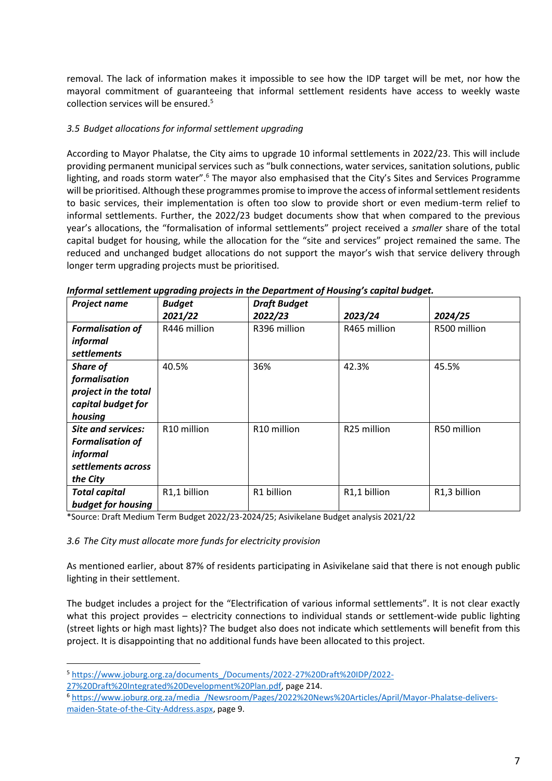removal. The lack of information makes it impossible to see how the IDP target will be met, nor how the mayoral commitment of guaranteeing that informal settlement residents have access to weekly waste collection services will be ensured. 5

# *3.5 Budget allocations for informal settlement upgrading*

According to Mayor Phalatse, the City aims to upgrade 10 informal settlements in 2022/23. This will include providing permanent municipal services such as "bulk connections, water services, sanitation solutions, public lighting, and roads storm water".<sup>6</sup> The mayor also emphasised that the City's Sites and Services Programme will be prioritised. Although these programmes promise to improve the access of informal settlement residents to basic services, their implementation is often too slow to provide short or even medium-term relief to informal settlements. Further, the 2022/23 budget documents show that when compared to the previous year's allocations, the "formalisation of informal settlements" project received a *smaller* share of the total capital budget for housing, while the allocation for the "site and services" project remained the same. The reduced and unchanged budget allocations do not support the mayor's wish that service delivery through longer term upgrading projects must be prioritised.

| Project name              | <b>Budget</b>           | <b>Draft Budget</b>     |                         |              |
|---------------------------|-------------------------|-------------------------|-------------------------|--------------|
|                           | 2021/22                 | 2022/23                 | 2023/24                 | 2024/25      |
| <b>Formalisation of</b>   | R446 million            | R396 million            | R465 million            | R500 million |
| informal                  |                         |                         |                         |              |
| settlements               |                         |                         |                         |              |
| Share of                  | 40.5%                   | 36%                     | 42.3%                   | 45.5%        |
| formalisation             |                         |                         |                         |              |
| project in the total      |                         |                         |                         |              |
| capital budget for        |                         |                         |                         |              |
| housing                   |                         |                         |                         |              |
| <b>Site and services:</b> | R <sub>10</sub> million | R <sub>10</sub> million | R <sub>25</sub> million | R50 million  |
| <b>Formalisation of</b>   |                         |                         |                         |              |
| informal                  |                         |                         |                         |              |
| settlements across        |                         |                         |                         |              |
| the City                  |                         |                         |                         |              |
| <b>Total capital</b>      | R1,1 billion            | R1 billion              | R1,1 billion            | R1,3 billion |
| budget for housing        |                         |                         |                         |              |

*Informal settlement upgrading projects in the Department of Housing's capital budget.*

\*Source: Draft Medium Term Budget 2022/23-2024/25; Asivikelane Budget analysis 2021/22

# *3.6 The City must allocate more funds for electricity provision*

As mentioned earlier, about 87% of residents participating in Asivikelane said that there is not enough public lighting in their settlement.

The budget includes a project for the "Electrification of various informal settlements". It is not clear exactly what this project provides – electricity connections to individual stands or settlement-wide public lighting (street lights or high mast lights)? The budget also does not indicate which settlements will benefit from this project. It is disappointing that no additional funds have been allocated to this project.

<sup>5</sup> [https://www.joburg.org.za/documents\\_/Documents/2022-27%20Draft%20IDP/2022-](https://www.joburg.org.za/documents_/Documents/2022-27%20Draft%20IDP/2022-27%20Draft%20Integrated%20Development%20Plan.pdf)

[<sup>27%20</sup>Draft%20Integrated%20Development%20Plan.pdf,](https://www.joburg.org.za/documents_/Documents/2022-27%20Draft%20IDP/2022-27%20Draft%20Integrated%20Development%20Plan.pdf) page 214.

<sup>6</sup> [https://www.joburg.org.za/media\\_/Newsroom/Pages/2022%20News%20Articles/April/Mayor-Phalatse-delivers](https://www.joburg.org.za/media_/Newsroom/Pages/2022%20News%20Articles/April/Mayor-Phalatse-delivers-maiden-State-of-the-City-Address.aspx)[maiden-State-of-the-City-Address.aspx,](https://www.joburg.org.za/media_/Newsroom/Pages/2022%20News%20Articles/April/Mayor-Phalatse-delivers-maiden-State-of-the-City-Address.aspx) page 9.